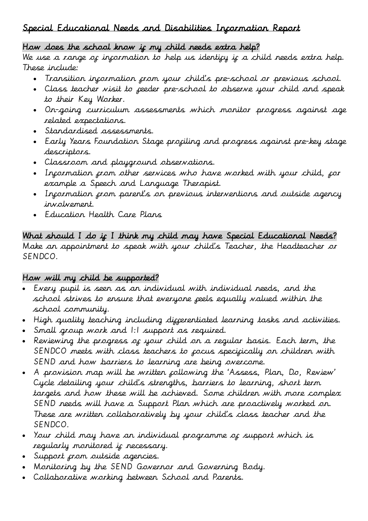# Special Educational Needs and Disabilities Information Report

#### How does the school know if my child needs extra help?

We use a range of information to help us identify if a child needs extra help. These include:

- Transition information from your child's pre-school or previous school.
- Class teacher visit to feeder pre-school to observe your child and speak to their Key Worker.
- On-going curriculum assessments which monitor progress against age related expectations.
- Standardised assessments.
- Early Years Foundation Stage profiling and progress against pre-key stage descriptors.
- Classroom and playground observations.
- Incormation crom other services who have worked with your child, cor example a Speech and Language Therapist.
- . Information *grom parent's on previous interventions and outside agency* involvement.
- Education Health Care Plans

What should I do if I think my child may have Special Educational Needs? Make an appointment to speak with your child's Teacher, the Headteacher or SENDCO.

# How will my child be supported?

- Every pupil is seen as an individual with individual needs, and the school strives to ensure that everyone feels equally valued within the school community.
- High quality teaching including differentiated learning tasks and activities.
- Small group work and 1:1 support as required.
- Reviewing the progress of your child on a regular basis. Each term, the SENDCO meets with class teachers to *focus* specifically on children with SEND and how barriers to learning are being overcome.
- A provision map will be written following the 'Assess, Plan, Do, Review' Cycle detailing your child's strengths, barriers to learning, short term targets and how these will be achieved. Some children with more complex SEND needs will have a Support Plan which are proactively worked on. These are written collaboratively by your child's class teacher and the SENDCO.
- Your child may have an individual programme of support which is regularly monitored if necessary.
- Support from outside agencies.
- Monitoring by the SEND Governor and Governing Body.
- Collaborative working between School and Parents.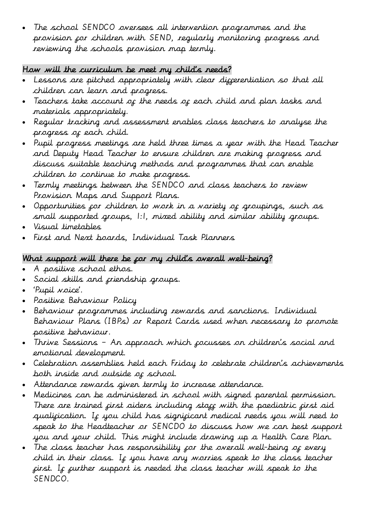The school SENDCO oversees all intervention programmes and the provision for children with SEND, regularly monitoring progress and reviewing the schools provision map termly.

### How will the curriculum be meet my child's needs?

- . Lessons are pitched appropriately with clear diggerentiation so that all children can learn and progress.
- Teachers take account of the needs of each child and plan tasks and materials appropriately.
- Regular tracking and assessment enables class teachers to analyse the progress of each child.
- Pupil progress meetings are held three times a year with the Head Teacher and Deputy Head Teacher to ensure children are making progress and discuss suitable teaching methods and programmes that can enable children to continue to make progress.
- Termly meetings between the SENDCO and class teachers to review Provision Maps and Support Plans.
- Opportunities for children to work in a variety of groupings, such as small supported groups, 1:1, mixed ability and similar ability groups.
- Visual timetables
- First and Next boards, Individual Task Planners

### What support will there be *for* my child's overall well-being?

- A positive school ethos.
- Social skills and friendship groups.
- 'Pupil voice'.
- Positive Behaviour Policy
- Behaviour programmes including rewards and sanctions. Individual Behaviour Plans (IBPs) or Report Cards used when necessary to promote positive behaviour.
- Thrive Sessions An approach which focusses on children's social and emotional development.
- Celebration assemblies held each Friday to celebrate children's achievements both inside and outside of school.
- Attendance rewards given termly to increase attendance.
- Medicines can be administered in school with signed parental permission. There are trained first aiders including staff with the paediatric first aid qualification. If you child has significant medical needs you will need to speak to the Headteacher or SENCDO to discuss how we can best support you and your child. This might include drawing up a Health Care Plan.
- The class teacher has responsibility for the overall well-being of every child in their class. If you have any worries speak to the class teacher first. If further support is needed the class teacher will speak to the SENDCO.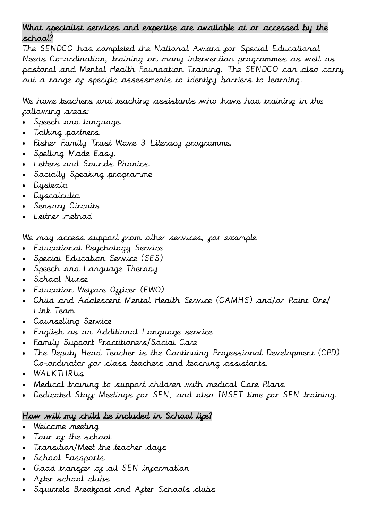#### What specialist services and expertise are available at or accessed by the school?

The SENDCO has completed the National Award for Special Educational Needs Co-ordination, training on many intervention programmes as well as pastoral and Mental Health Foundation Training. The SENDCO can also carry out a range of specific assessments to identify barriers to learning.

We have teachers and teaching assistants who have had training in the following areas:

- Speech and language.
- Talking partners.
- Fisher Family Trust Wave 3 Literacy programme.
- Spelling Made Easy.
- Letters and Sounds Phonics.
- Socially Speaking programme
- Dyslexia
- Dyscalculia
- Sensory Circuits
- Leitner method

We may access support from other services, for example

- Educational Psychology Service
- Special Education Service (SES)
- Speech and Language Therapy
- School Nurse
- Education Welçare Ozçicer (EWO)
- Child and Adolescent Mental Health Service (CAMHS) and/or Point One/ Link Team
- Counselling Service
- English as an Additional Language service
- Family Support Practitioners/Social Care
- The Deputy Head Teacher is the Continuing Professional Development (CPD) Co-ordinator for class teachers and teaching assistants.
- WALKTHRUs
- Medical training to support children with medical Care Plans
- Dedicated Stagg Meetings for SEN, and also INSET time for SEN training.

# How will my child be included in School lipe?

- Welcome meeting
- Tour of the school
- Transition/Meet the teacher days
- School Passports
- Good transfer of all SEN information
- After school clubs
- Squirrels Breakfast and After Schools clubs